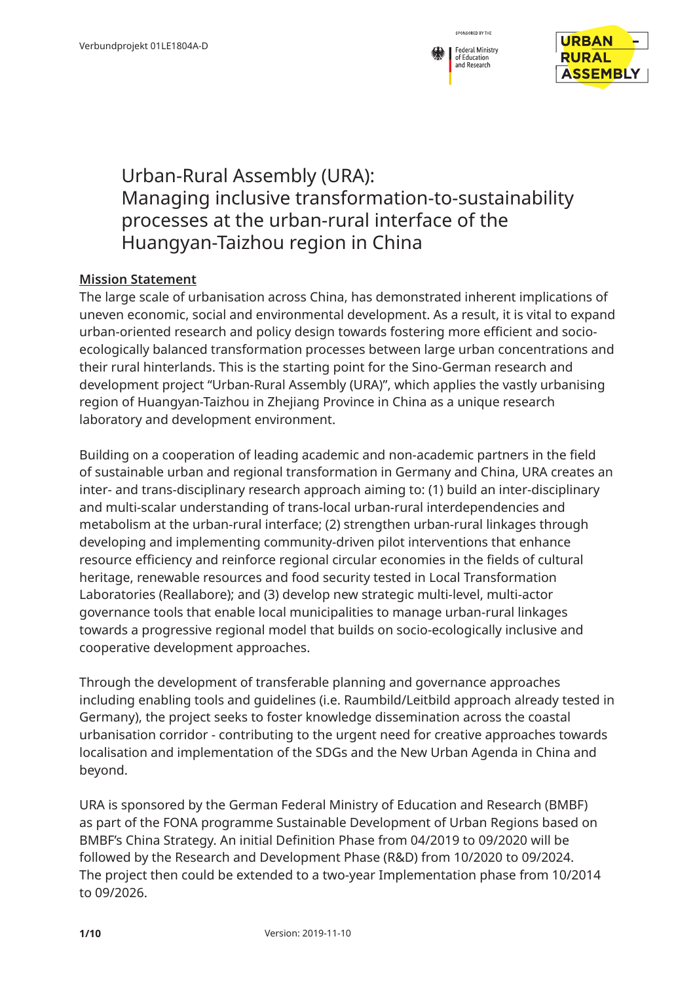

## Urban-Rural Assembly (URA): Managing inclusive transformation-to-sustainability processes at the urban-rural interface of the Huangyan-Taizhou region in China

## **Mission Statement**

The large scale of urbanisation across China, has demonstrated inherent implications of uneven economic, social and environmental development. As a result, it is vital to expand urban-oriented research and policy design towards fostering more efficient and socioecologically balanced transformation processes between large urban concentrations and their rural hinterlands. This is the starting point for the Sino-German research and development project "Urban-Rural Assembly (URA)", which applies the vastly urbanising region of Huangyan-Taizhou in Zhejiang Province in China as a unique research laboratory and development environment.

Building on a cooperation of leading academic and non-academic partners in the field of sustainable urban and regional transformation in Germany and China, URA creates an inter- and trans-disciplinary research approach aiming to: (1) build an inter-disciplinary and multi-scalar understanding of trans-local urban-rural interdependencies and metabolism at the urban-rural interface; (2) strengthen urban-rural linkages through developing and implementing community-driven pilot interventions that enhance resource efficiency and reinforce regional circular economies in the fields of cultural heritage, renewable resources and food security tested in Local Transformation Laboratories (Reallabore); and (3) develop new strategic multi-level, multi-actor governance tools that enable local municipalities to manage urban-rural linkages towards a progressive regional model that builds on socio-ecologically inclusive and cooperative development approaches.

Through the development of transferable planning and governance approaches including enabling tools and guidelines (i.e. Raumbild/Leitbild approach already tested in Germany), the project seeks to foster knowledge dissemination across the coastal urbanisation corridor - contributing to the urgent need for creative approaches towards localisation and implementation of the SDGs and the New Urban Agenda in China and beyond.

URA is sponsored by the German Federal Ministry of Education and Research (BMBF) as part of the FONA programme Sustainable Development of Urban Regions based on BMBF's China Strategy. An initial Definition Phase from 04/2019 to 09/2020 will be followed by the Research and Development Phase (R&D) from 10/2020 to 09/2024. The project then could be extended to a two-year Implementation phase from 10/2014 to 09/2026.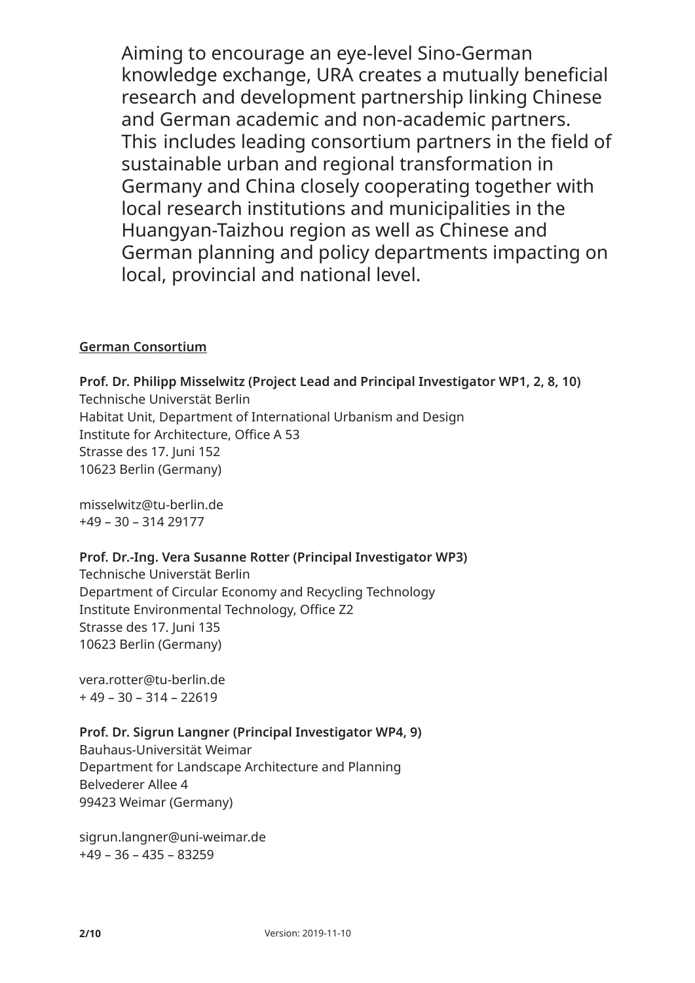Aiming to encourage an eye-level Sino-German knowledge exchange, URA creates a mutually beneficial research and development partnership linking Chinese and German academic and non-academic partners. This includes leading consortium partners in the field of sustainable urban and regional transformation in Germany and China closely cooperating together with local research institutions and municipalities in the Huangyan-Taizhou region as well as Chinese and German planning and policy departments impacting on local, provincial and national level.

## **German Consortium**

**Prof. Dr. Philipp Misselwitz (Project Lead and Principal Investigator WP1, 2, 8, 10)** Technische Universtät Berlin Habitat Unit, Department of International Urbanism and Design Institute for Architecture, Office A 53 Strasse des 17. Juni 152 10623 Berlin (Germany)

misselwitz@tu-berlin.de +49 – 30 – 314 29177

## **Prof. Dr.-Ing. Vera Susanne Rotter (Principal Investigator WP3)**

Technische Universtät Berlin Department of Circular Economy and Recycling Technology Institute Environmental Technology, Office Z2 Strasse des 17. Juni 135 10623 Berlin (Germany)

vera.rotter@tu-berlin.de + 49 – 30 – 314 – 22619

## **Prof. Dr. Sigrun Langner (Principal Investigator WP4, 9)**

Bauhaus-Universität Weimar Department for Landscape Architecture and Planning Belvederer Allee 4 99423 Weimar (Germany)

sigrun.langner@uni-weimar.de +49 – 36 – 435 – 83259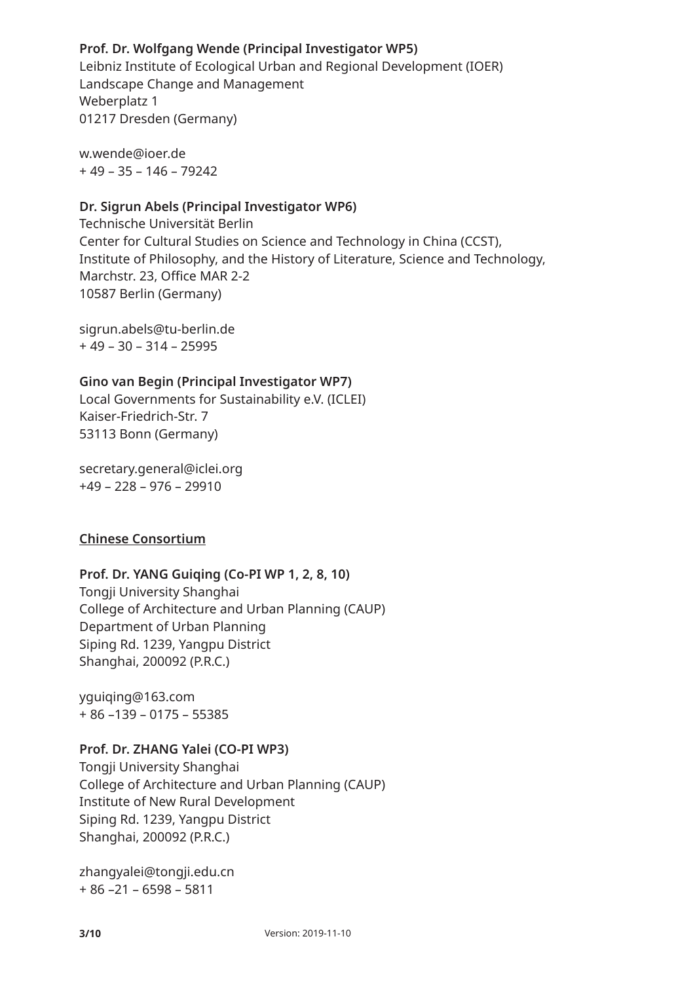## **Prof. Dr. Wolfgang Wende (Principal Investigator WP5)**

Leibniz Institute of Ecological Urban and Regional Development (IOER) Landscape Change and Management Weberplatz 1 01217 Dresden (Germany)

w.wende@ioer.de + 49 – 35 – 146 – 79242

#### **Dr. Sigrun Abels (Principal Investigator WP6)**

Technische Universität Berlin Center for Cultural Studies on Science and Technology in China (CCST), Institute of Philosophy, and the History of Literature, Science and Technology, Marchstr. 23, Office MAR 2-2 10587 Berlin (Germany)

sigrun.abels@tu-berlin.de + 49 – 30 – 314 – 25995

#### **Gino van Begin (Principal Investigator WP7)**

Local Governments for Sustainability e.V. (ICLEI) Kaiser-Friedrich-Str. 7 53113 Bonn (Germany)

secretary.general@iclei.org +49 – 228 – 976 – 29910

#### **Chinese Consortium**

#### **Prof. Dr. YANG Guiqing (Co-PI WP 1, 2, 8, 10)**

Tongji University Shanghai College of Architecture and Urban Planning (CAUP) Department of Urban Planning Siping Rd. 1239, Yangpu District Shanghai, 200092 (P.R.C.)

yguiqing@163.com + 86 –139 – 0175 – 55385

#### **Prof. Dr. ZHANG Yalei (CO-PI WP3)**

Tongji University Shanghai College of Architecture and Urban Planning (CAUP) Institute of New Rural Development Siping Rd. 1239, Yangpu District Shanghai, 200092 (P.R.C.)

zhangyalei@tongji.edu.cn + 86 –21 – 6598 – 5811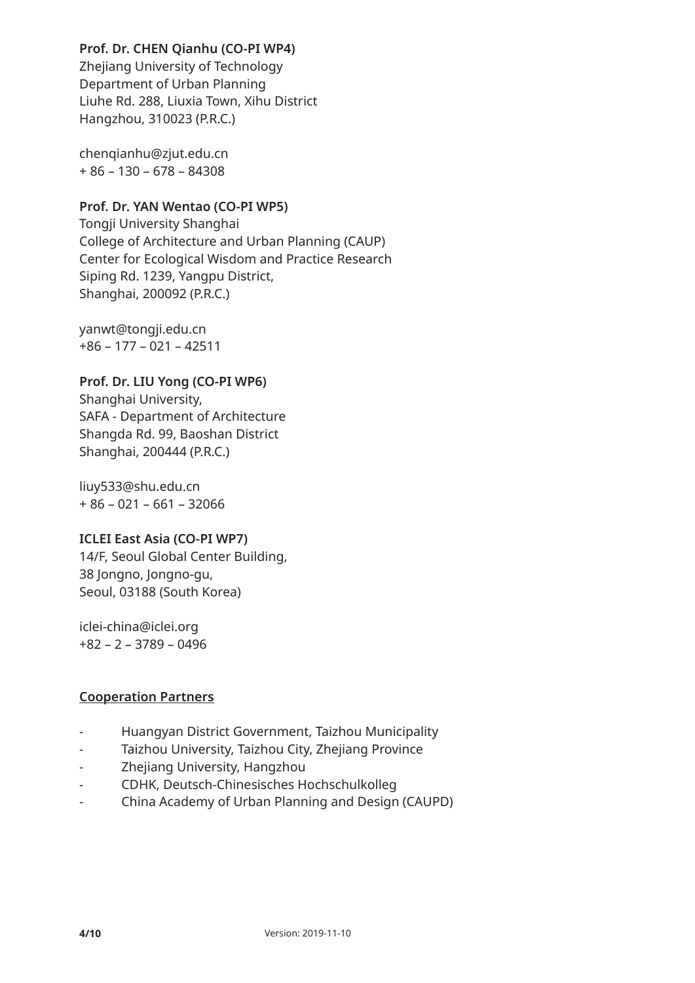## **Prof. Dr. CHEN Qianhu (CO-PI WP4)**

Zhejiang University of Technology Department of Urban Planning Liuhe Rd. 288, Liuxia Town, Xihu District Hangzhou, 310023 (P.R.C.)

chenqianhu@zjut.edu.cn + 86 – 130 – 678 – 84308

## **Prof. Dr. YAN Wentao (CO-PI WP5)**

Tongji University Shanghai College of Architecture and Urban Planning (CAUP) Center for Ecological Wisdom and Practice Research Siping Rd. 1239, Yangpu District, Shanghai, 200092 (P.R.C.)

yanwt@tongji.edu.cn +86 – 177 – 021 – 42511

## **Prof. Dr. LIU Yong (CO-PI WP6)**

Shanghai University, SAFA - Department of Architecture Shangda Rd. 99, Baoshan District Shanghai, 200444 (P.R.C.)

liuy533@shu.edu.cn + 86 – 021 – 661 – 32066

#### **ICLEI East Asia (CO-PI WP7)**

14/F, Seoul Global Center Building, 38 Jongno, Jongno-gu, Seoul, 03188 (South Korea)

iclei-china@iclei.org +82 – 2 – 3789 – 0496

## **Cooperation Partners**

- Huangyan District Government, Taizhou Municipality
- Taizhou University, Taizhou City, Zhejiang Province
- Zhejiang University, Hangzhou
- CDHK, Deutsch-Chinesisches Hochschulkolleg
- China Academy of Urban Planning and Design (CAUPD)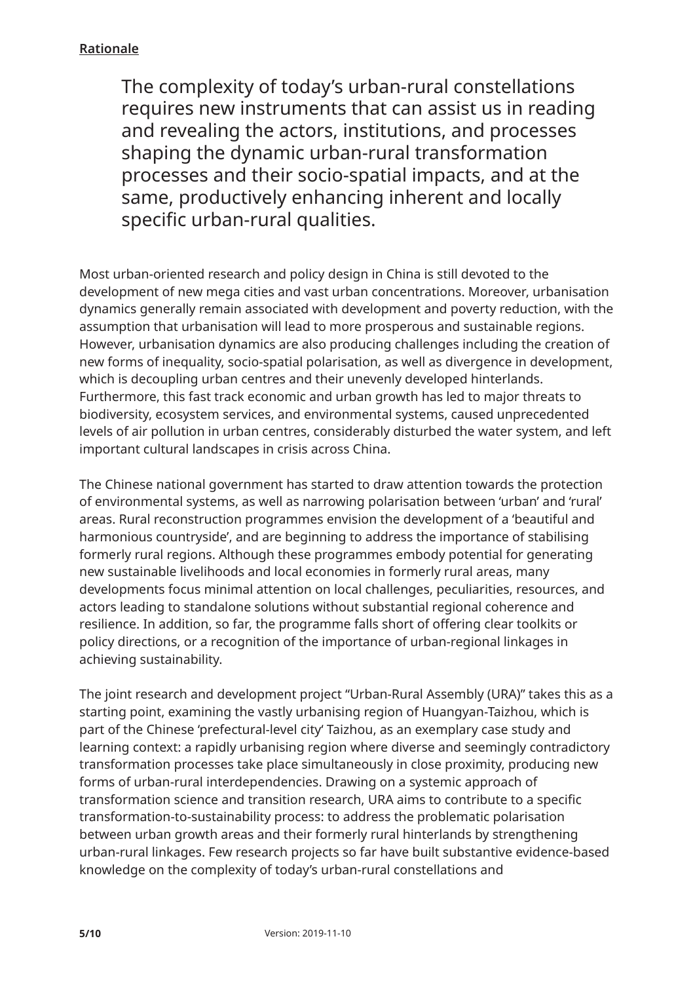## **Rationale**

The complexity of today's urban-rural constellations requires new instruments that can assist us in reading and revealing the actors, institutions, and processes shaping the dynamic urban-rural transformation processes and their socio-spatial impacts, and at the same, productively enhancing inherent and locally specific urban-rural qualities.

Most urban-oriented research and policy design in China is still devoted to the development of new mega cities and vast urban concentrations. Moreover, urbanisation dynamics generally remain associated with development and poverty reduction, with the assumption that urbanisation will lead to more prosperous and sustainable regions. However, urbanisation dynamics are also producing challenges including the creation of new forms of inequality, socio-spatial polarisation, as well as divergence in development, which is decoupling urban centres and their unevenly developed hinterlands. Furthermore, this fast track economic and urban growth has led to major threats to biodiversity, ecosystem services, and environmental systems, caused unprecedented levels of air pollution in urban centres, considerably disturbed the water system, and left important cultural landscapes in crisis across China.

The Chinese national government has started to draw attention towards the protection of environmental systems, as well as narrowing polarisation between 'urban' and 'rural' areas. Rural reconstruction programmes envision the development of a 'beautiful and harmonious countryside', and are beginning to address the importance of stabilising formerly rural regions. Although these programmes embody potential for generating new sustainable livelihoods and local economies in formerly rural areas, many developments focus minimal attention on local challenges, peculiarities, resources, and actors leading to standalone solutions without substantial regional coherence and resilience. In addition, so far, the programme falls short of offering clear toolkits or policy directions, or a recognition of the importance of urban-regional linkages in achieving sustainability.

The joint research and development project "Urban-Rural Assembly (URA)" takes this as a starting point, examining the vastly urbanising region of Huangyan-Taizhou, which is part of the Chinese 'prefectural-level city' Taizhou, as an exemplary case study and learning context: a rapidly urbanising region where diverse and seemingly contradictory transformation processes take place simultaneously in close proximity, producing new forms of urban-rural interdependencies. Drawing on a systemic approach of transformation science and transition research, URA aims to contribute to a specific transformation-to-sustainability process: to address the problematic polarisation between urban growth areas and their formerly rural hinterlands by strengthening urban-rural linkages. Few research projects so far have built substantive evidence-based knowledge on the complexity of today's urban-rural constellations and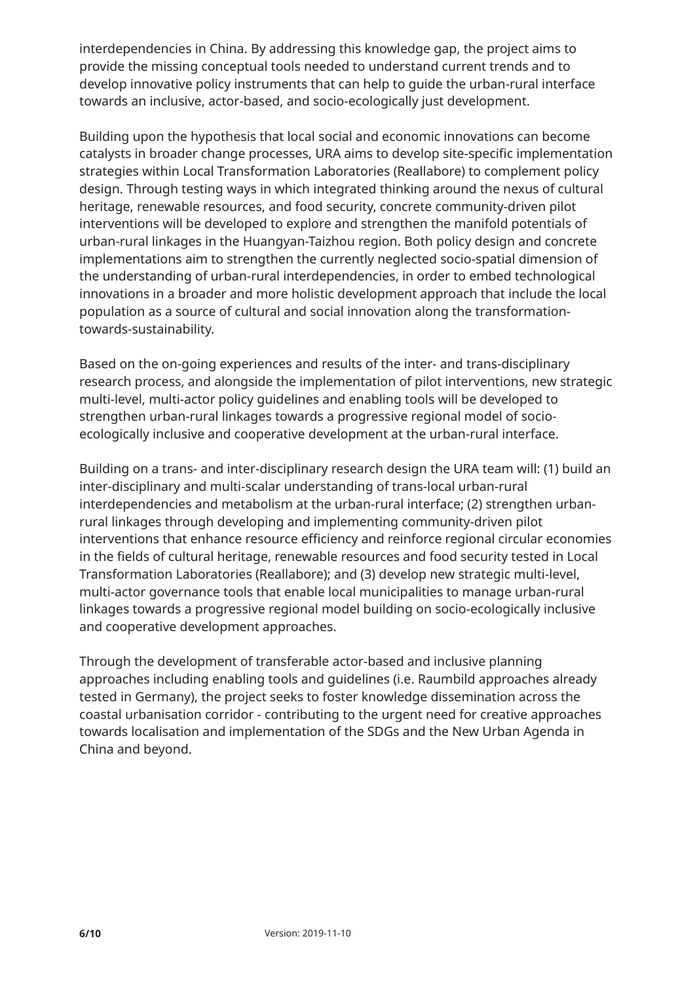interdependencies in China. By addressing this knowledge gap, the project aims to provide the missing conceptual tools needed to understand current trends and to develop innovative policy instruments that can help to guide the urban-rural interface towards an inclusive, actor-based, and socio-ecologically just development.

Building upon the hypothesis that local social and economic innovations can become catalysts in broader change processes, URA aims to develop site-specific implementation strategies within Local Transformation Laboratories (Reallabore) to complement policy design. Through testing ways in which integrated thinking around the nexus of cultural heritage, renewable resources, and food security, concrete community-driven pilot interventions will be developed to explore and strengthen the manifold potentials of urban-rural linkages in the Huangyan-Taizhou region. Both policy design and concrete implementations aim to strengthen the currently neglected socio-spatial dimension of the understanding of urban-rural interdependencies, in order to embed technological innovations in a broader and more holistic development approach that include the local population as a source of cultural and social innovation along the transformationtowards-sustainability.

Based on the on-going experiences and results of the inter- and trans-disciplinary research process, and alongside the implementation of pilot interventions, new strategic multi-level, multi-actor policy guidelines and enabling tools will be developed to strengthen urban-rural linkages towards a progressive regional model of socioecologically inclusive and cooperative development at the urban-rural interface.

Building on a trans- and inter-disciplinary research design the URA team will: (1) build an inter-disciplinary and multi-scalar understanding of trans-local urban-rural interdependencies and metabolism at the urban-rural interface; (2) strengthen urbanrural linkages through developing and implementing community-driven pilot interventions that enhance resource efficiency and reinforce regional circular economies in the fields of cultural heritage, renewable resources and food security tested in Local Transformation Laboratories (Reallabore); and (3) develop new strategic multi-level, multi-actor governance tools that enable local municipalities to manage urban-rural linkages towards a progressive regional model building on socio-ecologically inclusive and cooperative development approaches.

Through the development of transferable actor-based and inclusive planning approaches including enabling tools and guidelines (i.e. Raumbild approaches already tested in Germany), the project seeks to foster knowledge dissemination across the coastal urbanisation corridor - contributing to the urgent need for creative approaches towards localisation and implementation of the SDGs and the New Urban Agenda in China and beyond.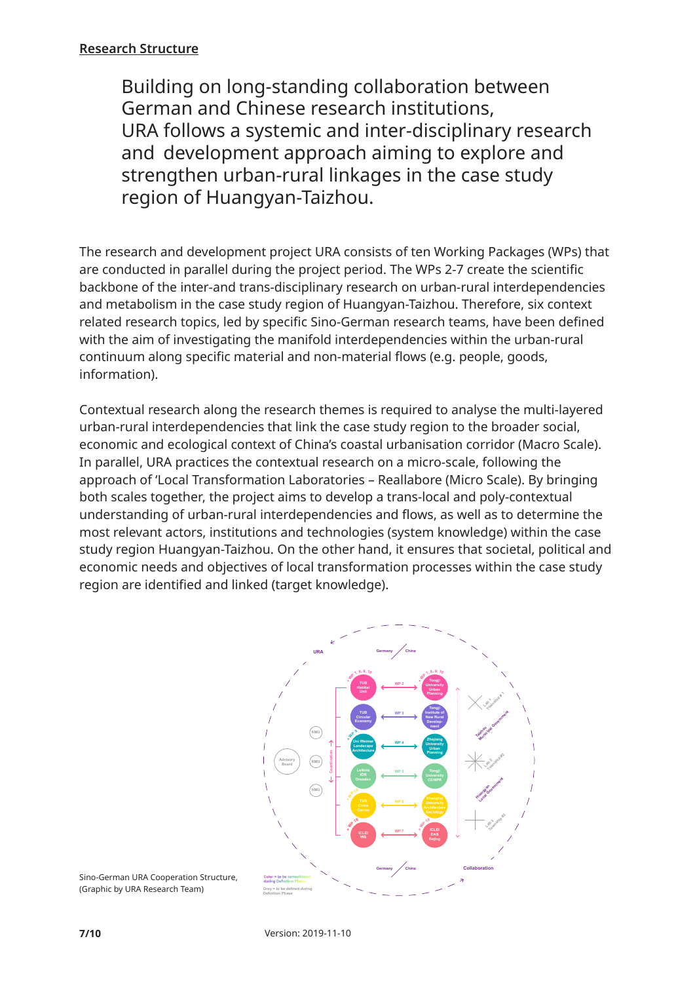#### **Research Structure**

Building on long-standing collaboration between German and Chinese research institutions, URA follows a systemic and inter-disciplinary research and development approach aiming to explore and strengthen urban-rural linkages in the case study region of Huangyan-Taizhou.

The research and development project URA consists of ten Working Packages (WPs) that are conducted in parallel during the project period. The WPs 2-7 create the scientific backbone of the inter-and trans-disciplinary research on urban-rural interdependencies and metabolism in the case study region of Huangyan-Taizhou. Therefore, six context related research topics, led by specific Sino-German research teams, have been defined with the aim of investigating the manifold interdependencies within the urban-rural continuum along specific material and non-material flows (e.g. people, goods, information).

Contextual research along the research themes is required to analyse the multi-layered urban-rural interdependencies that link the case study region to the broader social, economic and ecological context of China's coastal urbanisation corridor (Macro Scale). In parallel, URA practices the contextual research on a micro-scale, following the approach of 'Local Transformation Laboratories – Reallabore (Micro Scale). By bringing both scales together, the project aims to develop a trans-local and poly-contextual understanding of urban-rural interdependencies and flows, as well as to determine the most relevant actors, institutions and technologies (system knowledge) within the case study region Huangyan-Taizhou. On the other hand, it ensures that societal, political and economic needs and objectives of local transformation processes within the case study region are identified and linked (target knowledge).



**Color = to be consolidated** Sino-German URA Cooperation Structure, **during Definition Phase** (Graphic by URA Research Team)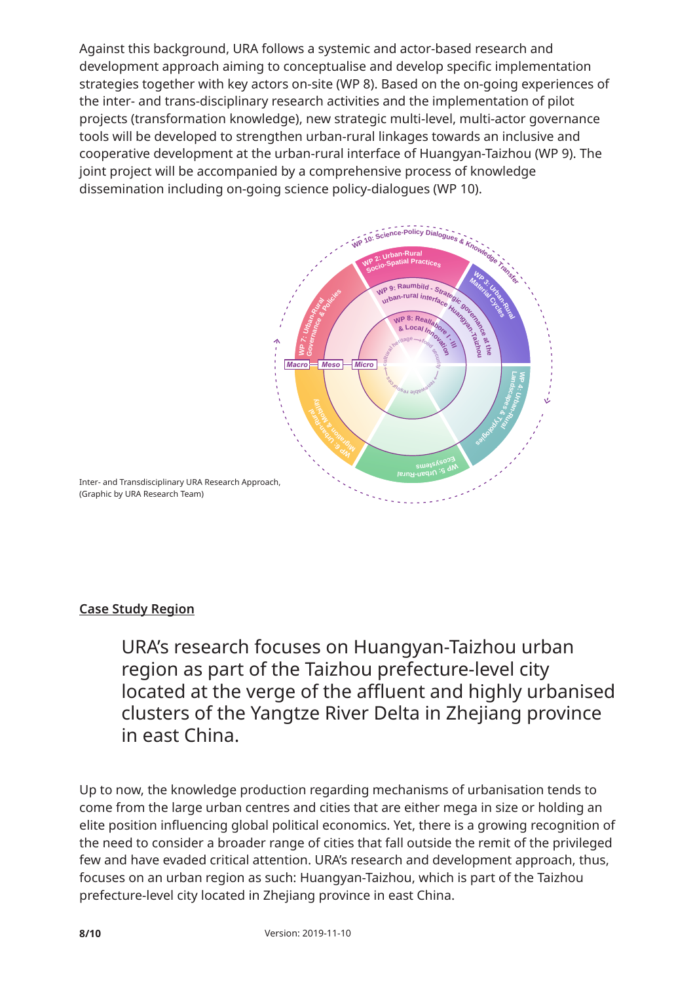Against this background, URA follows a systemic and actor-based research and development approach aiming to conceptualise and develop specific implementation strategies together with key actors on-site (WP 8). Based on the on-going experiences of the inter- and trans-disciplinary research activities and the implementation of pilot projects (transformation knowledge), new strategic multi-level, multi-actor governance tools will be developed to strengthen urban-rural linkages towards an inclusive and **URA Working Packages** cooperative development at the urban-rural interface of Huangyan-Taizhou (WP 9). The *(2019-05-15)* joint project will be accompanied by a comprehensive process of knowledge dissemination including on-going science policy-dialogues (WP 10).



# **Case Study Region**

URA's research focuses on Huangyan-Taizhou urban region as part of the Taizhou prefecture-level city located at the verge of the affluent and highly urbanised clusters of the Yangtze River Delta in Zhejiang province in east China.

Up to now, the knowledge production regarding mechanisms of urbanisation tends to come from the large urban centres and cities that are either mega in size or holding an elite position influencing global political economics. Yet, there is a growing recognition of the need to consider a broader range of cities that fall outside the remit of the privileged few and have evaded critical attention. URA's research and development approach, thus, focuses on an urban region as such: Huangyan-Taizhou, which is part of the Taizhou prefecture-level city located in Zhejiang province in east China.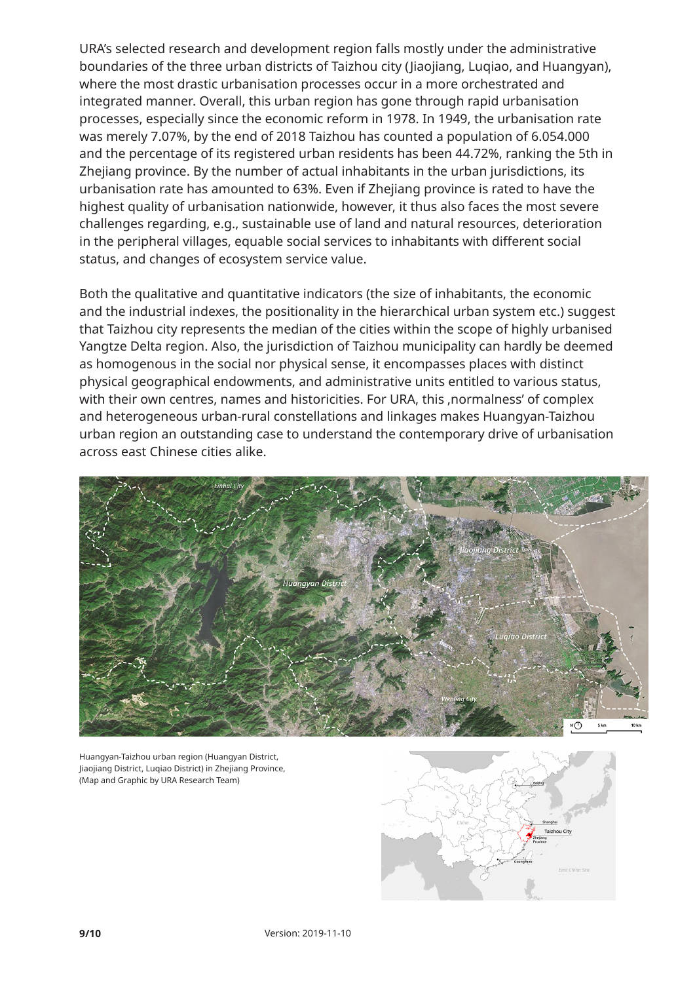URA's selected research and development region falls mostly under the administrative boundaries of the three urban districts of Taizhou city (Jiaojiang, Luqiao, and Huangyan), where the most drastic urbanisation processes occur in a more orchestrated and integrated manner. Overall, this urban region has gone through rapid urbanisation processes, especially since the economic reform in 1978. In 1949, the urbanisation rate was merely 7.07%, by the end of 2018 Taizhou has counted a population of 6.054.000 and the percentage of its registered urban residents has been 44.72%, ranking the 5th in Zhejiang province. By the number of actual inhabitants in the urban jurisdictions, its urbanisation rate has amounted to 63%. Even if Zhejiang province is rated to have the highest quality of urbanisation nationwide, however, it thus also faces the most severe challenges regarding, e.g., sustainable use of land and natural resources, deterioration in the peripheral villages, equable social services to inhabitants with different social status, and changes of ecosystem service value.

Both the qualitative and quantitative indicators (the size of inhabitants, the economic and the industrial indexes, the positionality in the hierarchical urban system etc.) suggest that Taizhou city represents the median of the cities within the scope of highly urbanised Yangtze Delta region. Also, the jurisdiction of Taizhou municipality can hardly be deemed as homogenous in the social nor physical sense, it encompasses places with distinct physical geographical endowments, and administrative units entitled to various status, with their own centres, names and historicities. For URA, this ,normalness' of complex and heterogeneous urban-rural constellations and linkages makes Huangyan-Taizhou urban region an outstanding case to understand the contemporary drive of urbanisation across east Chinese cities alike.



Huangyan-Taizhou urban region (Huangyan District, Jiaojiang District, Luqiao District) in Zhejiang Province, (Map and Graphic by URA Research Team)